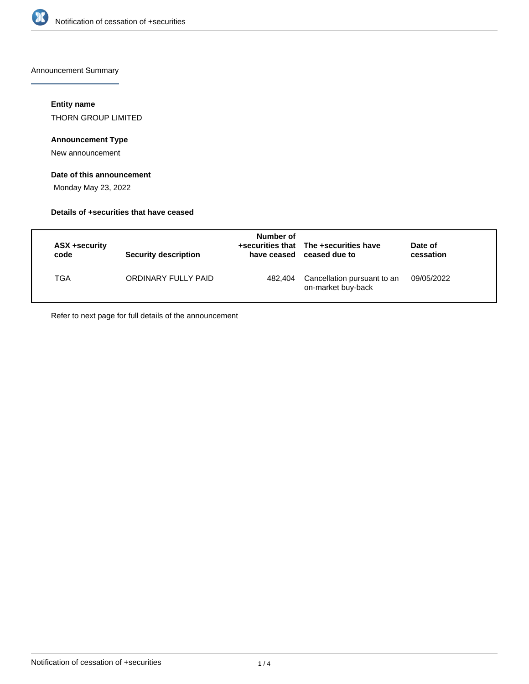

Announcement Summary

### **Entity name**

THORN GROUP LIMITED

# **Announcement Type**

New announcement

# **Date of this announcement**

Monday May 23, 2022

### **Details of +securities that have ceased**

| ASX +security<br>code | <b>Security description</b> | Number of<br>have ceased | +securities that The +securities have<br>ceased due to | Date of<br>cessation |
|-----------------------|-----------------------------|--------------------------|--------------------------------------------------------|----------------------|
| TGA                   | ORDINARY FULLY PAID         | 482.404                  | Cancellation pursuant to an<br>on-market buy-back      | 09/05/2022           |

Refer to next page for full details of the announcement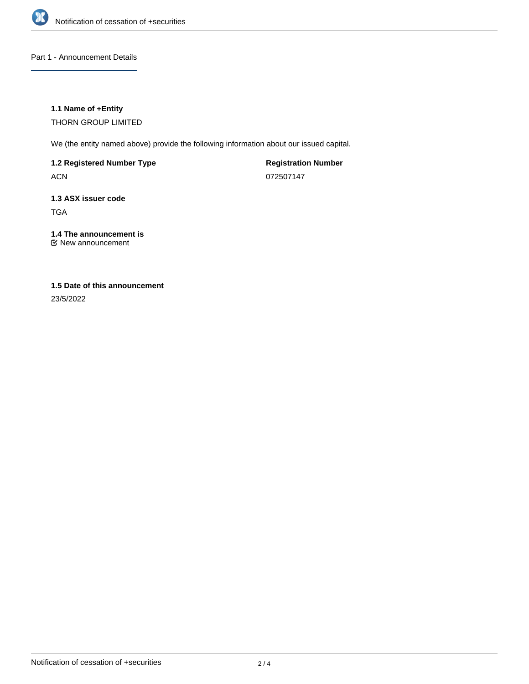

Part 1 - Announcement Details

## **1.1 Name of +Entity**

THORN GROUP LIMITED

We (the entity named above) provide the following information about our issued capital.

**1.2 Registered Number Type**

ACN

**Registration Number** 072507147

# **1.3 ASX issuer code** TGA

# **1.4 The announcement is**

New announcement

# **1.5 Date of this announcement**

23/5/2022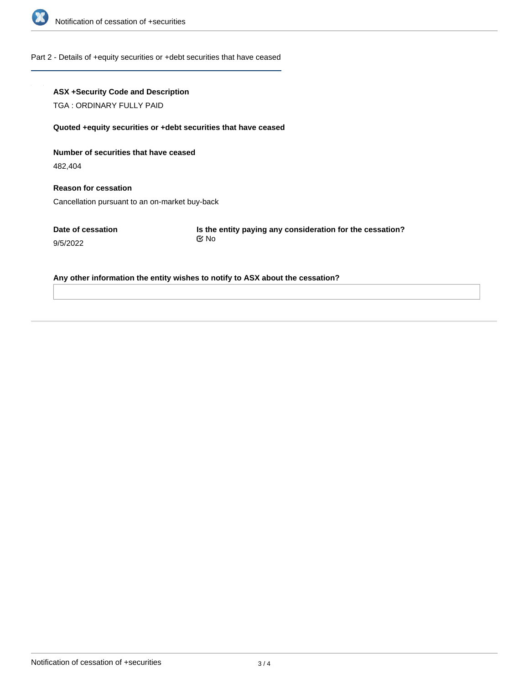

#### Part 2 - Details of +equity securities or +debt securities that have ceased

## **ASX +Security Code and Description**

TGA : ORDINARY FULLY PAID

#### **Quoted +equity securities or +debt securities that have ceased**

**Number of securities that have ceased**

482,404

**Reason for cessation** Cancellation pursuant to an on-market buy-back

**Date of cessation** 9/5/2022

**Is the entity paying any consideration for the cessation?** No

#### **Any other information the entity wishes to notify to ASX about the cessation?**